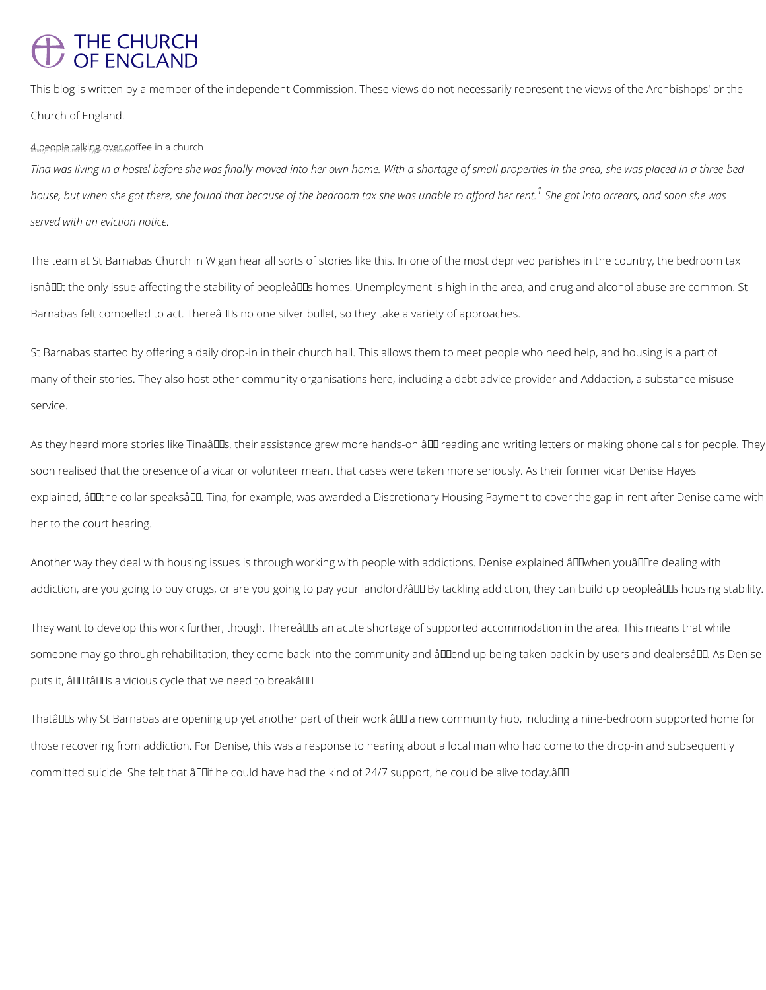## THE CHURCH<br>OF ENGLAND

This blog is written by a member of the independent Commission. These views do not necessarily represent the views of the Archbishops' or the Church of England.

4 people talking over coffee in a church

The team at St Barnabas Church in Wigan hear all sorts of stories like this. In one of the most deprived parishes in the country, the bedroom tax isnâl Lut the only issue affecting the stability of peopleâl Ls homes. Unemployment is high in the area, and drug and alcohol abuse are common. St Barnabas felt compelled to act. Thereâlls no one silver bullet, so they take a variety of approaches.

*Tina was living in a hostel before she was finally moved into her own home. With a shortage of small properties in the area, she was placed in a three-bed house, but when she got there, she found that because of the bedroom tax she was unable to afford her rent.<sup>1</sup> She got into arrears, and soon she was served with an eviction notice.*

As they heard more stories like Tinaâ DDs, their assistance grew more hands-on â DD reading and writing letters or making phone calls for people. They soon realised that the presence of a vicar or volunteer meant that cases were taken more seriously. As their former vicar Denise Hayes explained, âDDthe collar speaksâDD. Tina, for example, was awarded a Discretionary Housing Payment to cover the gap in rent after Denise came with her to the court hearing.

Another way they deal with housing issues is through working with people with addictions. Denise explained â HM hen youâ HI dealing with addiction, are you going to buy drugs, or are you going to pay your landlord?ân By tackling addiction, they can build up peopleâns housing stability.

They want to develop this work further, though. Thereâll an acute shortage of supported accommodation in the area. This means that while someone may go through rehabilitation, they come back into the community and âlllend up being taken back in by users and dealersâlll. As Denise puts it, âldlitâlds a vicious cycle that we need to breakâld.

Thatâll Dis why St Barnabas are opening up yet another part of their work â DI a new community hub, including a nine-bedroom supported home for

St Barnabas started by offering a daily drop-in in their church hall. This allows them to meet people who need help, and housing is a part of many of their stories. They also host other community organisations here, including a debt advice provider and Addaction, a substance misuse service.

those recovering from addiction. For Denise, this was a response to hearing about a local man who had come to the drop-in and subsequently

committed suicide. She felt that âDDif he could have had the kind of 24/7 support, he could be alive today.âDD